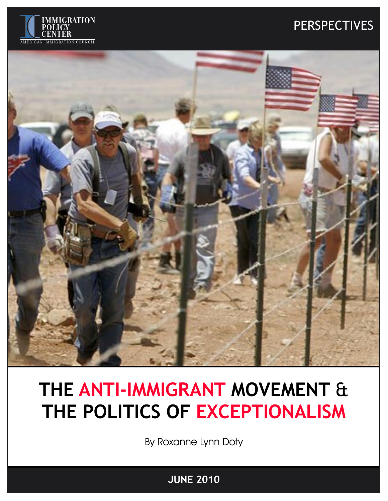

## PERSPECTIVES PERSPECTIVES



# **THE ANTI-IMMIGRANT MOVEMENT** & **THE POLITICS OF EXCEPTIONALISM**

By Roxanne Lynn Doty

**APRIL 2010 JUNE 2010**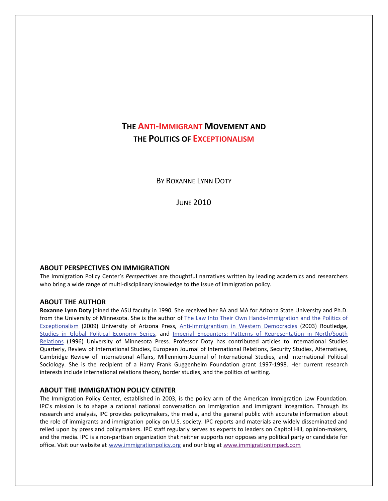### **THE ANTI‐IMMIGRANT MOVEMENT AND THE POLITICS OF EXCEPTIONALISM**

BY ROXANNE LYNN DOTY

JUNE 2010

#### **ABOUT PERSPECTIVES ON IMMIGRATION**

The Immigration Policy Center's *Perspectives* are thoughtful narratives written by leading academics and researchers who bring a wide range of multi-disciplinary knowledge to the issue of immigration policy.

#### **ABOUT THE AUTHOR**

**Roxanne Lynn Doty** joined the ASU faculty in 1990. She received her BA and MA for Arizona State University and Ph.D. from the University of Minnesota. She is the author of The Law Into Their Own Hands-[Immigration](http://www.uapress.arizona.edu/BOOKS/bid2076.htm) and the Politics of [Exceptionalism](http://www.uapress.arizona.edu/BOOKS/bid2076.htm) (2009) University of Arizona Press, Anti-[Immigrantism](http://www.amazon.com/Anti-Immigrantism-Western-Democracies-Statecraft-Exclusion/dp/0415299799) in Western Democracies (2003) Routledge, Studies in Global Political [Economy](http://www.routledgepolitics.com/books/series/Routledge/RIPE_Studies_in_Global_Political_Economy/) Series, and Imperial Encounters: Patterns of [Representation](http://www.amazon.com/Imperial-Encounters-Representation-North-South-Relations/dp/0816627630/ref=sr_1_2?ie=UTF8&s=books&qid=1275589152&sr=1-2) in North/South [Relations](http://www.amazon.com/Imperial-Encounters-Representation-North-South-Relations/dp/0816627630/ref=sr_1_2?ie=UTF8&s=books&qid=1275589152&sr=1-2) (1996) University of Minnesota Press. Professor Doty has contributed articles to International Studies Quarterly, Review of International Studies, European Journal of International Relations, Security Studies, Alternatives, Cambridge Review of International Affairs, Millennium‐Journal of International Studies, and International Political Sociology. She is the recipient of a Harry Frank Guggenheim Foundation grant 1997‐1998. Her current research interests include international relations theory, border studies, and the politics of writing.

#### **ABOUT THE IMMIGRATION POLICY CENTER**

The Immigration Policy Center, established in 2003, is the policy arm of the American Immigration Law Foundation. IPC's mission is to shape a rational national conversation on immigration and immigrant integration. Through its research and analysis, IPC provides policymakers, the media, and the general public with accurate information about the role of immigrants and immigration policy on U.S. society. IPC reports and materials are widely disseminated and relied upon by press and policymakers. IPC staff regularly serves as experts to leaders on Capitol Hill, opinion‐makers, and the media. IPC is a non‐partisan organization that neither supports nor opposes any political party or candidate for office. Visit our website at www.immigrationpolicy.org and our [blog](http://rs6.net/tn.jsp?e=0013sB3H4Ngeb8u23v8DTLYuHff5o3A9Y7fC7wsO-myYRJX8RIQtjCJU2lT5w5MoDBNruFtlQCCVis4BypKz358QSnkHIGy4kZ3WjQGc9mhqFGdO-75dEFf5V4SGNJr23Hf&id=preview&id=preview) at www.immigrationimpact.com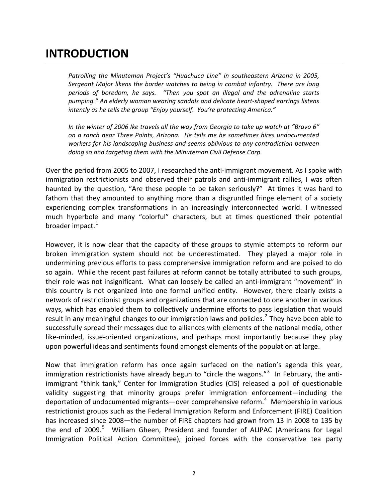### **INTRODUCTION**

*Patrolling the Minuteman Project's "Huachuca Line" in southeastern Arizona in 2005, Sergeant Major likens the border watches to being in combat infantry. There are long periods of boredom, he says. "Then you spot an illegal and the adrenaline starts pumping." An elderly woman wearing sandals and delicate heart‐shaped earrings listens intently as he tells the group "Enjoy yourself. You're protecting America."*

*In the winter of 2006 Ike travels all the way from Georgia to take up watch at "Bravo 6" on a ranch near Three Points, Arizona. He tells me he sometimes hires undocumented workers for his landscaping business and seems oblivious to any contradiction between doing so and targeting them with the Minuteman Civil Defense Corp.* 

Over the period from 2005 to 2007, I researched the anti-immigrant movement. As I spoke with immigration restrictionists and observed their patrols and anti-immigrant rallies, I was often haunted by the question, "Are these people to be taken seriously?" At times it was hard to fathom that they amounted to anything more than a disgruntled fringe element of a society experiencing complex transformations in an increasingly interconnected world. I witnessed much hyperbole and many "colorful" characters, but at times questioned their potential broader impact.<sup>[1](#page-6-0)</sup>

However, it is now clear that the capacity of these groups to stymie attempts to reform our broken immigration system should not be underestimated. They played a major role in undermining previous efforts to pass comprehensive immigration reform and are poised to do so again. While the recent past failures at reform cannot be totally attributed to such groups, their role was not insignificant. What can loosely be called an anti-immigrant "movement" in this country is not organized into one formal unified entity. However, there clearly exists a network of restrictionist groups and organizations that are connected to one another in various ways, which has enabled them to collectively undermine efforts to pass legislation that would result in any meaningful changes to our immigration laws and policies.<sup>[2](#page-6-1)</sup> They have been able to successfully spread their messages due to alliances with elements of the national media, other like‐minded, issue‐oriented organizations, and perhaps most importantly because they play upon powerful ideas and sentiments found amongst elements of the population at large.

Now that immigration reform has once again surfaced on the nation's agenda this year, immigration restrictionists have already begun to "circle the wagons."<sup>[3](#page-6-1)</sup> In February, the antiimmigrant "think tank," Center for Immigration Studies (CIS) released a poll of questionable validity suggesting that minority groups prefer immigration enforcement—including the deportation of undocumented migrants—over comprehensive reform.<sup>[4](#page-7-0)</sup> Membership in various restrictionist groups such as the Federal Immigration Reform and Enforcement (FIRE) Coalition has increased since 2008—the number of FIRE chapters had grown from 13 in 2008 to 135 by the end of 2009.<sup>[5](#page-7-0)</sup> William Gheen, President and founder of ALIPAC (Americans for Legal Immigration Political Action Committee), joined forces with the conservative tea party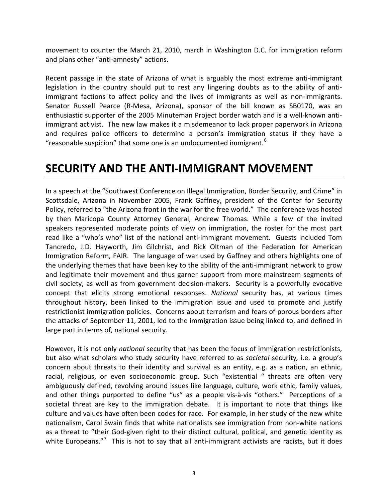movement to counter the March 21, 2010, march in Washington D.C. for immigration reform and plans other "anti‐amnesty" actions.

Recent passage in the state of Arizona of what is arguably the most extreme anti-immigrant legislation in the country should put to rest any lingering doubts as to the ability of anti‐ immigrant factions to affect policy and the lives of immigrants as well as non-immigrants. Senator Russell Pearce (R-Mesa, Arizona), sponsor of the bill known as SB0170, was an enthusiastic supporter of the 2005 Minuteman Project border watch and is a well-known antiimmigrant activist. The new law makes it a misdemeanor to lack proper paperwork in Arizona and requires police officers to determine a person's immigration status if they have a "reasonable suspicion" that some one is an undocumented immigrant.  $6$ 

### **SECURITY AND THE ANTI‐IMMIGRANT MOVEMENT**

In a speech at the "Southwest Conference on Illegal Immigration, Border Security, and Crime" in Scottsdale, Arizona in November 2005, Frank Gaffney, president of the Center for Security Policy, referred to "the Arizona front in the war for the free world." The conference was hosted by then Maricopa County Attorney General, Andrew Thomas. While a few of the invited speakers represented moderate points of view on immigration, the roster for the most part read like a "who's who" list of the national anti-immigrant movement. Guests included Tom Tancredo, J.D. Hayworth, Jim Gilchrist, and Rick Oltman of the Federation for American Immigration Reform, FAIR. The language of war used by Gaffney and others highlights one of the underlying themes that have been key to the ability of the anti-immigrant network to grow and legitimate their movement and thus garner support from more mainstream segments of civil society, as well as from government decision-makers. Security is a powerfully evocative concept that elicits strong emotional responses. *National* security has, at various times throughout history, been linked to the immigration issue and used to promote and justify restrictionist immigration policies. Concerns about terrorism and fears of porous borders after the attacks of September 11, 2001, led to the immigration issue being linked to, and defined in large part in terms of, national security.

However, it is not only *national* security that has been the focus of immigration restrictionists, but also what scholars who study security have referred to as *societal* security*,* i.e. a group's concern about threats to their identity and survival as an entity, e.g. as a nation, an ethnic, racial, religious, or even socioeconomic group. Such "existential " threats are often very ambiguously defined, revolving around issues like language, culture, work ethic, family values, and other things purported to define "us" as a people vis-à-vis "others." Perceptions of a societal threat are key to the immigration debate. It is important to note that things like culture and values have often been codes for race. For example, in her study of the new white nationalism, Carol Swain finds that white nationalists see immigration from non‐white nations as a threat to "their God-given right to their distinct cultural, political, and genetic identity as white Europeans."<sup>[7](#page-7-0)</sup> This is not to say that all anti-immigrant activists are racists, but it does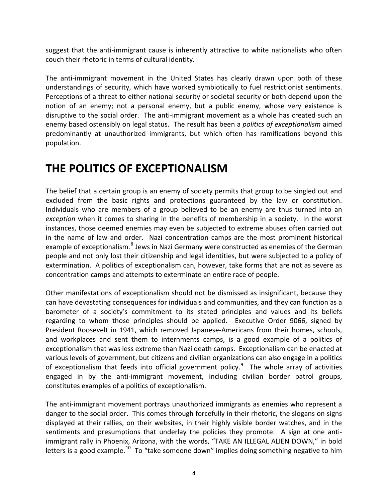suggest that the anti-immigrant cause is inherently attractive to white nationalists who often couch their rhetoric in terms of cultural identity.

The anti-immigrant movement in the United States has clearly drawn upon both of these understandings of security, which have worked symbiotically to fuel restrictionist sentiments. Perceptions of a threat to either national security or societal security or both depend upon the notion of an enemy; not a personal enemy, but a public enemy, whose very existence is disruptive to the social order. The anti‐immigrant movement as a whole has created such an enemy based ostensibly on legal status. The result has been a *politics of exceptionalism* aimed predominantly at unauthorized immigrants, but which often has ramifications beyond this population.

### **THE POLITICS OF EXCEPTIONALISM**

The belief that a certain group is an enemy of society permits that group to be singled out and excluded from the basic rights and protections guaranteed by the law or constitution. Individuals who are members of a group believed to be an enemy are thus turned into an *exception* when it comes to sharing in the benefits of membership in a society. In the worst instances, those deemed enemies may even be subjected to extreme abuses often carried out in the name of law and order. Nazi concentration camps are the most prominent historical example of exceptionalism.<sup>[8](#page-7-0)</sup> Jews in Nazi Germany were constructed as enemies of the German people and not only lost their citizenship and legal identities, but were subjected to a policy of extermination. A politics of exceptionalism can, however, take forms that are not as severe as concentration camps and attempts to exterminate an entire race of people.

Other manifestations of exceptionalism should not be dismissed as insignificant, because they can have devastating consequences for individuals and communities, and they can function as a barometer of a society's commitment to its stated principles and values and its beliefs regarding to whom those principles should be applied. Executive Order 9066, signed by President Roosevelt in 1941, which removed Japanese‐Americans from their homes, schools, and workplaces and sent them to internments camps, is a good example of a politics of exceptionalism that was less extreme than Nazi death camps. Exceptionalism can be enacted at various levels of government, but citizens and civilian organizations can also engage in a politics of exceptionalism that feeds into official government policy. $^9$  $^9$  The whole array of activities engaged in by the anti-immigrant movement, including civilian border patrol groups, constitutes examples of a politics of exceptionalism.

The anti-immigrant movement portrays unauthorized immigrants as enemies who represent a danger to the social order. This comes through forcefully in their rhetoric, the slogans on signs displayed at their rallies, on their websites, in their highly visible border watches, and in the sentiments and presumptions that underlay the policies they promote. A sign at one antiimmigrant rally in Phoenix, Arizona, with the words, "TAKE AN ILLEGAL ALIEN DOWN," in bold letters is a good example.<sup>[10](#page-7-0)</sup> To "take someone down" implies doing something negative to him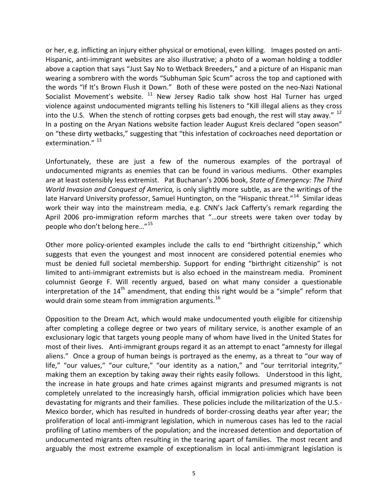or her, e.g. inflicting an injury either physical or emotional, even killing. Images posted on anti‐ Hispanic, anti-immigrant websites are also illustrative; a photo of a woman holding a toddler above a caption that says "Just Say No to Wetback Breeders," and a picture of an Hispanic man wearing a sombrero with the words "Subhuman Spic Scum" across the top and captioned with the words "If It's Brown Flush it Down." Both of these were posted on the neo-Nazi National Socialist Movement's website.  $11$  New Jersey Radio talk show host Hal Turner has urged violence against undocumented migrants telling his listeners to "Kill illegal aliens as they cross into the U.S. When the stench of rotting corpses gets bad enough, the rest will stay away."  $^{12}$  $^{12}$  $^{12}$ In a posting on the Aryan Nations website faction leader August Kreis declared "open season" on "these dirty wetbacks," suggesting that "this infestation of cockroaches need deportation or extermination."<sup>[13](#page-7-0)</sup>

Unfortunately, these are just a few of the numerous examples of the portrayal of undocumented migrants as enemies that can be found in various mediums. Other examples are at least ostensibly less extremist. Pat Buchanan's 2006 book, *State of Emergency: The Third World Invasion and Conquest of America,* is only slightly more subtle, as are the writings of the late Harvard University professor, Samuel Huntington, on the "Hispanic threat."<sup>[14](#page-7-0)</sup> Similar ideas work their way into the mainstream media, e.g. CNN's Jack Cafferty's remark regarding the April 2006 pro-immigration reform marches that "...our streets were taken over today by people who don't belong here…"[15](#page-7-0)

Other more policy-oriented examples include the calls to end "birthright citizenship," which suggests that even the youngest and most innocent are considered potential enemies who must be denied full societal membership. Support for ending "birthright citizenship" is not limited to anti-immigrant extremists but is also echoed in the mainstream media. Prominent columnist George F. Will recently argued, based on what many consider a questionable interpretation of the  $14<sup>th</sup>$  amendment, that ending this right would be a "simple" reform that would drain some steam from immigration arguments.<sup>[16](#page-7-0)</sup>

Opposition to the Dream Act, which would make undocumented youth eligible for citizenship after completing a college degree or two years of military service, is another example of an exclusionary logic that targets young people many of whom have lived in the United States for most of their lives. Anti-immigrant groups regard it as an attempt to enact "amnesty for illegal aliens." Once a group of human beings is portrayed as the enemy, as a threat to "our way of life," "our values," "our culture," "our identity as a nation," and "our territorial integrity," making them an exception by taking away their rights easily follows. Understood in this light, the increase in hate groups and hate crimes against migrants and presumed migrants is not completely unrelated to the increasingly harsh, official immigration policies which have been devastating for migrants and their families. These policies include the militarization of the U.S.‐ Mexico border, which has resulted in hundreds of border‐crossing deaths year after year; the proliferation of local anti‐immigrant legislation, which in numerous cases has led to the racial profiling of Latino members of the population; and the increased detention and deportation of undocumented migrants often resulting in the tearing apart of families. The most recent and arguably the most extreme example of exceptionalism in local anti-immigrant legislation is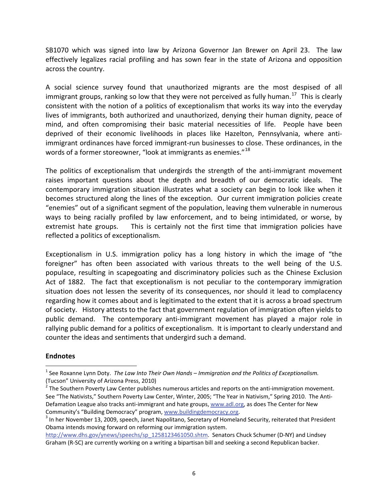<span id="page-6-1"></span>SB1070 which was signed into law by Arizona Governor Jan Brewer on April 23. The law effectively legalizes racial profiling and has sown fear in the state of Arizona and opposition across the country.

A social science survey found that unauthorized migrants are the most despised of all immigrant groups, ranking so low that they were not perceived as fully human.<sup>[17](#page-7-0)</sup> This is clearly consistent with the notion of a politics of exceptionalism that works its way into the everyday lives of immigrants, both authorized and unauthorized, denying their human dignity, peace of mind, and often compromising their basic material necessities of life. People have been deprived of their economic livelihoods in places like Hazelton, Pennsylvania, where anti‐ immigrant ordinances have forced immigrant-run businesses to close. These ordinances, in the words of a former storeowner, "look at immigrants as enemies."<sup>[18](#page-7-1)</sup>

The politics of exceptionalism that undergirds the strength of the anti-immigrant movement raises important questions about the depth and breadth of our democratic ideals. The contemporary immigration situation illustrates what a society can begin to look like when it becomes structured along the lines of the exception. Our current immigration policies create "enemies" out of a significant segment of the population, leaving them vulnerable in numerous ways to being racially profiled by law enforcement, and to being intimidated, or worse, by extremist hate groups. This is certainly not the first time that immigration policies have reflected a politics of exceptionalism*.* 

Exceptionalism in U.S. immigration policy has a long history in which the image of "the foreigner" has often been associated with various threats to the well being of the U.S. populace, resulting in scapegoating and discriminatory policies such as the Chinese Exclusion Act of 1882. The fact that exceptionalism is not peculiar to the contemporary immigration situation does not lessen the severity of its consequences, nor should it lead to complacency regarding how it comes about and is legitimated to the extent that it is across a broad spectrum of society. History attests to the fact that government regulation of immigration often yields to public demand. The contemporary anti-immigrant movement has played a major role in rallying public demand for a politics of exceptionalism. It is important to clearly understand and counter the ideas and sentiments that undergird such a demand.

### **Endnotes**

 $\overline{a}$ 

<span id="page-6-0"></span><sup>1</sup> See Roxanne Lynn Doty. *The Law Into Their Own Hands – Immigration and the Politics of Exceptionalism.* (Tucson" University of Arizona Press, 2010)<br><sup>2</sup> The Southern Poverty Law Center publishes numerous articles and reports on the anti-immigration movement.

See "The Nativists," Southern Poverty Law Center, Winter, 2005; "The Year in Nativism," Spring 2010. The AntiDefamation League also tracks anti-immigrant and hate groups, [www.adl.org,](http://www.adl.org/) as does The Center for New Community's "Building Democracy" program, [www.buildingdemocracy.org](http://www.buildingdemocracy.org/).<br><sup>3</sup> In her November 13, 2009, speech, Janet Napolitano, Secretary of Homeland Security, reiterated that President

Obama intends moving forward on reforming our immigration system.

[http://www.dhs.gov/ynews/speechs/sp\\_1258123461050.shtm.](http://www.dhs.gov/ynews/speechs/sp_1258123461050.shtm) Senators Chuck Schumer (D-NY) and Lindsey Graham (R‐SC) are currently working on a writing a bipartisan bill and seeking a second Republican backer.